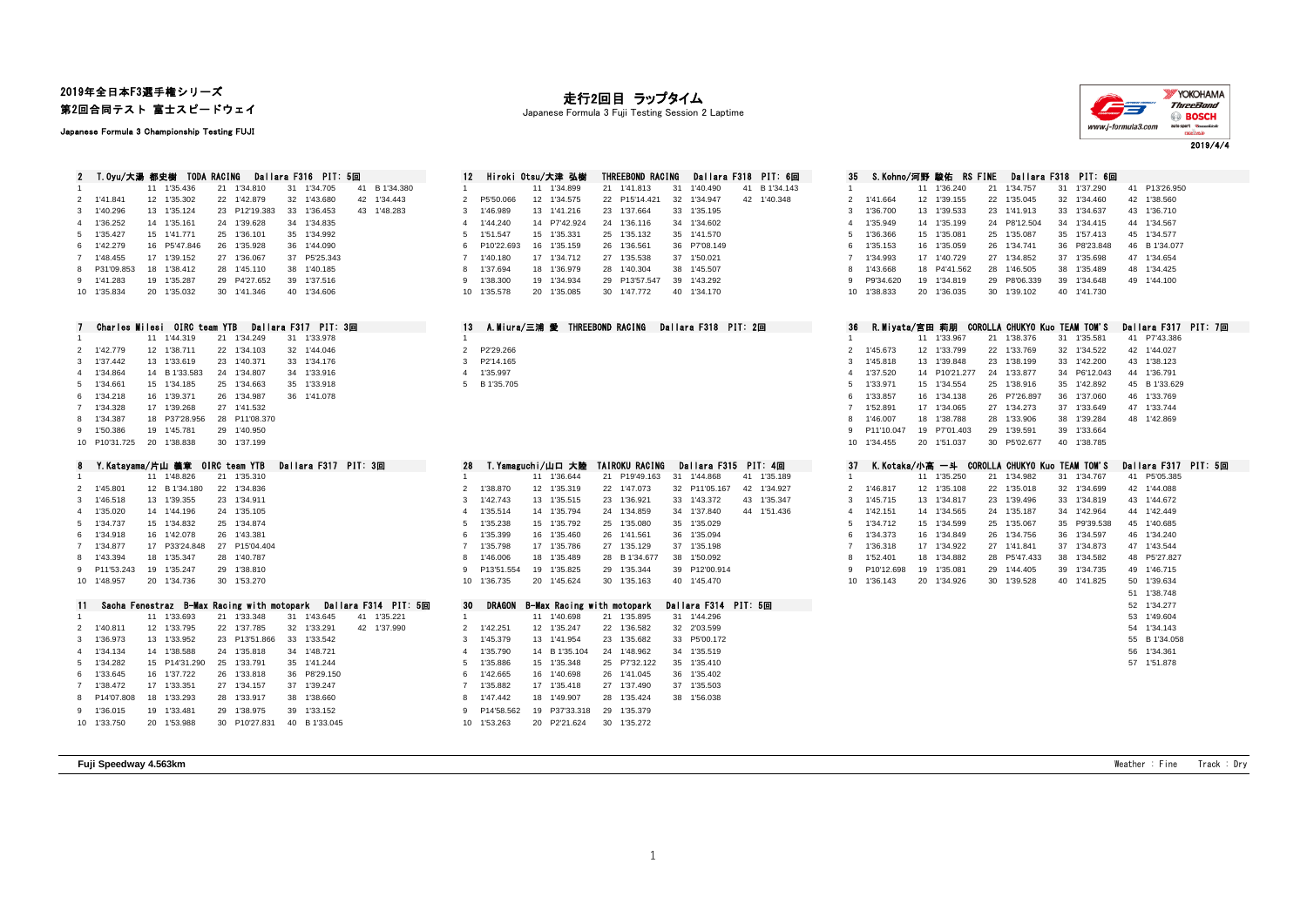## 2019年全日本F3選手権シリーズ 第2回合同テスト 富士スピードウェイ

Japanese Formula 3 Championship Testing FUJI

## 走行2回目 ラップタイム

Japanese Formula 3 Fuji Testing Session 2 Laptime



2 T.Oyu/大湯 都史樹 TODA RACING Dallara F316 PIT: 5回 312 Hiroki Otsu/大津 弘樹 THREEBOND RACING Dallara F318 PIT: 6回 1 1 11 1<sup>'</sup>35.436 21 1'34.810 31 1'34.705 41 B 1'34.380 2 1'41.841 12 1'35.302 22 1'42.879 32 1'43.680 42 1'34.443 1'40.296 13 1'35.124 23 P12'19.383 33 1'36.453 43 1'48.283 3 1'46.989 13 1'41.216 23 1'37.664 33 1'35.195 3 1'36.700 13 1'39.533 23 1'41.913 33 1'34.637 43 1'36.710 4 1'36.252 14 1'35.161 24 1'39.628 34 1'34.835<br>5 1'35.427 15 1'41.771 25 1'36.101 35 1'34.992 1'35.427 15 1'41.771 25 1'36.101 35 1'34.992 5 1'51.547 15 1'35.331 25 1'35.132 35 1'41.570 5 1'36.366 15 1'35.081 25 1'35.087 35 1'57.413 45 1'34.577 16 P5'47.846 26 1'35.928 36 1'44.090 1'48.455 17 1'39.152 27 1'36.067 37 P5'25.343 7 1'40.180 17 1'34.712 27 1'35.538 37 1'50.021 7 1'34.993 17 1'40.729 27 1'34.852 37 1'35.698 47 1'34.654 8 P31'09.853 18 1'38.412 28 1'45.110 38 1'40.185 9 1'41.283 19 1'35.287 29 P4'27.652 39 1'37.516 10 1'35.834 20 1'35.032 30 1'41.346 40 1'34.606

|                           | UNATIOS MIIOSI UIKU LOAM IID |             | Pallara rol <i>i</i> fil o⊞i | Dallara rolo I'll ZEEL | -30 |              |               |              |             |
|---------------------------|------------------------------|-------------|------------------------------|------------------------|-----|--------------|---------------|--------------|-------------|
|                           | 11 1'44.319                  | 21 1'34.249 | 31 1'33.978                  |                        |     |              | 11 1'33.967   | 21 1'38.376  | 31 1'35.581 |
| 2 1'42.779                | 12 1'38.711                  | 22 1'34.103 | 32 1'44.046                  | 2 P2'29.266            |     | 2 1'45.673   | 12 1'33.799   | 22 1'33.769  | 32 1'34.522 |
| 3 1'37.442                | 13 1'33.619                  | 23 1'40.371 | 33 1'34.176                  | 3 P2'14.165            |     | 3 1'45.818   | 13 1'39.848   | 23 1'38.199  | 33 1'42.200 |
| 4 1'34.864                | 14 B 1'33.583                | 24 1'34.807 | 34 1'33.916                  | 4 1'35.997             |     | 4 1'37.520   | 14 P10'21.277 | 24 1'33.877  | 34 P6'12.04 |
| 5 1'34.661                | 15 1'34.185                  | 25 1'34.663 | 35 1'33.918                  | 5 B 1'35.705           |     | 5 1'33.971   | 15 1'34.554   | 25 1'38.916  | 35 1'42.892 |
| 6 1'34.218                | 16 1'39.371                  | 26 1'34.987 | 36 1'41.078                  |                        |     | 6 1'33.857   | 16 1'34.138   | 26 P7'26.897 | 36 1'37.060 |
| 7 1'34.328                | 17 1'39.268                  | 27 1'41.532 |                              |                        |     | 7 1'52.891   | 17 1'34.065   | 27 1'34.273  | 37 1'33.649 |
| 8 1'34.387                | 18 P37'28.956 28 P11'08.370  |             |                              |                        |     | 8 1'46.007   | 18 1'38.788   | 28 1'33.906  | 38 1'39.284 |
| 9 1'50.386                | 19 1'45.781                  | 29 1'40.950 |                              |                        |     | 9 P11'10.047 | 19 P7'01.403  | 29 1'39.591  | 39 1'33.664 |
| 10 P10'31.725 20 1'38.838 |                              | 30 1'37.199 |                              |                        |     | 10 1'34.455  | 20 1'51.037   | 30 P5'02.677 | 40 1'38.785 |
|                           |                              |             |                              |                        |     |              |               |              |             |

| ۰              | T. Na tayama/片山 塞卓 UING Team TIB |                  |            |    |             | <u>valiara roll</u> | ru. |
|----------------|----------------------------------|------------------|------------|----|-------------|---------------------|-----|
| 1              |                                  | 11               | 1'48.826   | 21 | 1'35.310    |                     |     |
| $\mathfrak{p}$ | 1'45.801                         | 12               | B 1'34.180 |    | 22 1'34.836 |                     |     |
| 3              | 1'46.518                         | 13 <sup>13</sup> | 1'39.355   | 23 | 1'34.911    |                     |     |
| 4              | 1'35.020                         | 14               | 1'44.196   | 24 | 1'35.105    |                     |     |
| 5              | 1'34.737                         | 15               | 1'34.832   | 25 | 1'34.874    |                     |     |
| 6              | 1'34.918                         | 16               | 1'42.078   | 26 | 1'43.381    |                     |     |
| $\overline{7}$ | 1'34.877                         | 17               | P33'24.848 | 27 | P15'04.404  |                     |     |
| 8              | 1'43.394                         | 18               | 1'35.347   | 28 | 1'40.787    |                     |     |
| 9              | P11'53.243                       | 19               | 1'35.247   | 29 | 1'38.810    |                     |     |
| 10             | 1'48.957                         | 20               | 1'34.736   | 30 | 1'53.270    |                     |     |
|                |                                  |                  |            |    |             |                     |     |

|             |                           |                             | $\mathbf{r}$ . The contract of the contract of the contract of the contract of the contract of the contract of the contract of the contract of the contract of the contract of the contract of the contract of the contract of th |             | <b>UV PRIMOR D'AMA RAVING ATGRIADE DE LA PATTATA I DIT I SIT UGA</b> |              |
|-------------|---------------------------|-----------------------------|-----------------------------------------------------------------------------------------------------------------------------------------------------------------------------------------------------------------------------------|-------------|----------------------------------------------------------------------|--------------|
|             | 11 1'33.693               | 21 1'33.348                 | 41 1'35.221<br>31 1'43.645                                                                                                                                                                                                        |             | 11 1'40.698<br>21 1'35.895                                           | 31 1'44.296  |
| 2 1'40.811  | 12 1'33.795               | 22 1'37.785                 | 42 1'37.990<br>32 1'33.291                                                                                                                                                                                                        | 2 1'42.251  | 12 1'35.247<br>22 1'36.582                                           | 32 2'03.599  |
| 3 1'36.973  | 13 1'33.952               | 23 P13'51.866 33 1'33.542   |                                                                                                                                                                                                                                   | 3 1'45.379  | 23 1'35.682<br>13 1'41.954                                           | 33 P5'00.172 |
| 4 1'34.134  | 14 1'38.588               | 24 1'35.818                 | 34 1'48.721                                                                                                                                                                                                                       | 1'35.790    | 14 B 1'35.104<br>24 1'48.962                                         | 34 1'35.519  |
| 5 1'34.282  | 15 P14'31.290 25 1'33.791 |                             | 35 1'41.244                                                                                                                                                                                                                       | 5 1'35.886  | 25 P7'32.122<br>15 1'35.348                                          | 35 1'35.410  |
| 6 1'33.645  | 16 1'37.722               | 26 1'33.818                 | 36 P8'29.150                                                                                                                                                                                                                      | 6 1'42.665  | 16 1'40.698<br>26 1'41.045                                           | 36 1'35.402  |
| 7 1'38.472  |                           | 27 1'34.157                 | 37 1'39.247                                                                                                                                                                                                                       | 1'35.882    | 17 1'35.418<br>27 1'37.490                                           | 37 1'35.503  |
|             | 8 P14'07.808 18 1'33.293  | 28 1'33.917                 | 38 1'38,660                                                                                                                                                                                                                       | 8 1'47.442  | 18 1'49.907<br>28 1'35.424                                           | 38 1'56.038  |
| 9 1'36.015  | 19 1'33.481               | 29 1'38.975                 | 39 1'33.152                                                                                                                                                                                                                       |             | 9 P14'58.562 19 P37'33.318 29 1'35.379                               |              |
| 10 1'33.750 | 20 1'53.988               | 30 P10'27.831 40 B 1'33.045 |                                                                                                                                                                                                                                   | 10 1'53.263 | 20 P2'21.624<br>30 1'35.272                                          |              |

| 12              |            |    | Hiroki Otsu/大津 弘樹 |    | THREEBOND RACING |    |             |    | Dallara F318 PIT: 6回 |
|-----------------|------------|----|-------------------|----|------------------|----|-------------|----|----------------------|
| 1               |            | 11 | 1'34.899          |    | 21 1'41.813      | 31 | 1'40.490    | 41 | B 1'34.143           |
| $\mathfrak{p}$  | P5'50.066  |    | 12 1'34.575       |    | 22 P15'14.421    |    | 32 1'34.947 |    | 42 1'40.348          |
| 3               | 1'46.989   |    | 13 1'41.216       |    | 23 1'37.664      |    | 33 1'35.195 |    |                      |
| 4               | 1'44.240   |    | 14 P7'42.924      |    | 24 1'36.116      |    | 34 1'34.602 |    |                      |
| 5               | 1'51.547   |    | 15 1'35.331       |    | 25 1'35.132      |    | 35 1'41.570 |    |                      |
| 6               | P10'22.693 |    | 16 1'35.159       |    | 26 1'36.561      | 36 | P7'08.149   |    |                      |
| 7               | 1'40.180   | 17 | 1'34.712          | 27 | 1'35.538         | 37 | 1'50.021    |    |                      |
| 8               | 1'37.694   | 18 | 1'36.979          | 28 | 1'40.304         | 38 | 1'45.507    |    |                      |
| 9               | 1'38,300   | 19 | 1'34.934          |    | 29 P13'57.547    | 39 | 1'43.292    |    |                      |
| 10 <sup>1</sup> | 1'35.578   | 20 | 1'35.085          | 30 | 1'47.772         | 40 | 1'34.170    |    |                      |

| A.Miura/三浦 愛 THREEBOND RACING<br>З.<br>Dallara F318 PIT: 2回 |  |
|-------------------------------------------------------------|--|
|                                                             |  |
| P2'29.266                                                   |  |
| P2'14.165                                                   |  |
| 1'35.997                                                    |  |
| B 1'35.705                                                  |  |
|                                                             |  |

| 8 Y.Katayama/片山 義章 OIRC team YTB              |               |               | Dallara F317 PIT: 3回 |                      |     |            |                |    |             | T.Yamaguchi/山口 大陸 TAIROKU RACING  |     |                      | Dallara F315 PIT: 4回 | -37 |             |    |             |  | K.Kotaka/小高 一斗 COROLLA CHUKYO Kuo TEAM TOM'S |              | Dallara F317 |
|-----------------------------------------------|---------------|---------------|----------------------|----------------------|-----|------------|----------------|----|-------------|-----------------------------------|-----|----------------------|----------------------|-----|-------------|----|-------------|--|----------------------------------------------|--------------|--------------|
|                                               | 11 1'48.826   | 21 1'35.310   |                      |                      |     |            |                |    | 11 1'36.644 | 21 P19'49.163                     | -31 | 1'44.868             | 1'35.189<br>41       |     |             |    | 11 1'35.250 |  | 21 1'34.982                                  | 31 1'34,767  | 41 P5'05.385 |
| 2 1'45.801                                    | 12 B 1'34.180 | 22 1'34.836   |                      |                      |     |            | 1'38.870       |    | 12 1'35.319 | 22 1'47.073                       |     | 32 P11'05.167        | 42 1'34.927          |     | 1'46.817    |    | 12 1'35.108 |  | 22 1'35.018                                  | 32 1'34.699  | 42 1'44.088  |
| 3 1'46.518                                    | 13 1'39.355   | 23 1'34.911   |                      |                      |     |            | $3 \t1'42.743$ |    | 13 1'35.515 | 23 1'36.921                       |     | 33 1'43.372          | 43 1'35.347          |     | 3 1'45.715  |    | 13 1'34.817 |  | 23 1'39.496                                  | 33 1'34.819  | 43 1'44.672  |
| 4 1'35.020                                    | 14 1'44.196   | 24 1'35.105   |                      |                      |     |            | 1'35.514       |    | 14 1'35.794 | 24 1'34.859                       |     | 34 1'37.840          | 44 1'51.436          |     | 4 1'42.151  |    | 14 1'34.565 |  | 24 1'35.187                                  | 34 1'42,964  | 44 1'42,449  |
| 5 1'34.737                                    | 15 1'34.832   | 25 1'34.874   |                      |                      |     | 5 1'35.238 |                |    | 15 1'35.792 | 25 1'35,080                       |     | 35 1'35.029          |                      |     | 5 1'34.712  |    | 15 1'34.599 |  | 25 1'35,067                                  | 35 P9'39.538 | 45 1'40.685  |
| 6 1'34.918                                    | 16 1'42.078   | 26 1'43.381   |                      |                      |     |            | 6 1'35.399     |    | 16 1'35.460 | 26 1'41.561                       |     | 36 1'35.094          |                      |     | 1'34.373    |    | 16 1'34.849 |  | 26 1'34.756                                  | 36 1'34.597  | 46 1'34.240  |
| 7 1'34,877                                    | 17 P33'24.848 | 27 P15'04.404 |                      |                      |     |            | 1'35.798       |    | 17 1'35.786 | 27 1'35.129                       |     | 37 1'35.198          |                      |     | 1'36.318    |    | 17 1'34.922 |  | 27 1'41.841                                  | 37 1'34.873  | 47 1'43.544  |
| 8 1'43.394                                    | 18 1'35.347   | 28 1'40.787   |                      |                      |     |            | 8 1'46.006     |    | 18 1'35.489 | 28 B 1'34,677                     |     | 38 1'50.092          |                      |     | 8 1'52.401  |    | 18 1'34.882 |  | 28 P5'47.433                                 | 38 1'34.582  | 48 P5'27.827 |
| 9 P11'53.243                                  | 19 1'35.247   | 29 1'38.810   |                      |                      |     |            | P13'51.554     | 19 | 1'35.825    | 29 1'35.344                       |     | 39 P12'00.914        |                      |     | P10'12.698  | 19 | 1'35.081    |  | 29 1'44.405                                  | 39 1'34.735  | 49 1'46.715  |
| 10 1'48.957                                   | 20 1'34.736   | 30 1'53.270   |                      |                      |     |            | 10 1'36.735    |    | 20 1'45.624 | 30 1'35.163                       |     | 40 1'45.470          |                      |     | 10 1'36.143 | 20 | 1'34.926    |  | 30 1'39.528                                  | 40 1'41.825  | 50 1'39.634  |
|                                               |               |               |                      |                      |     |            |                |    |             |                                   |     |                      |                      |     |             |    |             |  |                                              |              | 51 1'38.748  |
| 11 Sacha Fenestraz B-Max Racing with motopark |               |               |                      | Dallara F314 PIT: 5回 | -30 |            |                |    |             | DRAGON B-Max Racing with motopark |     | Dallara F314 PIT: 5回 |                      |     |             |    |             |  |                                              |              | 52 1'34.277  |

| 1              |            | 11 | 1'40.698    | 21 | 1'35.895     | 31 | 1'44.296     |
|----------------|------------|----|-------------|----|--------------|----|--------------|
| $\mathfrak{p}$ | 1'42.251   |    | 12 1'35.247 |    | 22 1'36.582  |    | 32 2'03.599  |
| 3              | 1'45.379   |    | 13 1'41.954 |    | 23 1'35.682  |    | 33 P5'00.172 |
| 4              | 1'35.790   | 14 | B 1'35.104  |    | 24 1'48.962  |    | 34 1'35.519  |
| 5              | 1'35.886   |    | 15 1'35.348 |    | 25 P7'32.122 |    | 35 1'35.410  |
| 6              | 1'42.665   |    | 16 1'40.698 |    | 26 1'41.045  | 36 | 1'35.402     |
| 7              | 1'35.882   | 17 | 1'35.418    |    | 27 1'37.490  | 37 | 1'35.503     |
| 8              | 1'47.442   | 18 | 1'49.907    |    | 28 1'35.424  | 38 | 1'56.038     |
| 9              | P14'58.562 | 19 | P37'33.318  | 29 | 1'35.379     |    |              |
| 10             | 1'53.263   | 20 | P2'21.624   | 30 | 1'35.272     |    |              |
|                |            |    |             |    |              |    |              |

| 35             | S.Kohno/河野 酸佑 |    |           |    | RS FINE Dallara F318 |    | PIT: 6回   |    |            |
|----------------|---------------|----|-----------|----|----------------------|----|-----------|----|------------|
| $\mathbf{1}$   |               | 11 | 1'36.240  | 21 | 1'34.757             | 31 | 1'37.290  | 41 | P13'26.950 |
| $\mathfrak{p}$ | 1'41.664      | 12 | 1'39.155  | 22 | 1'35.045             | 32 | 1'34.460  | 42 | 1'38.560   |
| 3              | 1'36.700      | 13 | 1'39.533  | 23 | 1'41.913             | 33 | 1'34.637  | 43 | 1'36.710   |
| 4              | 1'35.949      | 14 | 1'35.199  | 24 | P8'12.504            | 34 | 1'34.415  | 44 | 1'34.567   |
| 5              | 1'36.366      | 15 | 1'35.081  | 25 | 1'35.087             | 35 | 1'57.413  | 45 | 1'34.577   |
| 6              | 1'35.153      | 16 | 1'35.059  | 26 | 1'34.741             | 36 | P8'23.848 | 46 | B 1'34.077 |
| $\overline{7}$ | 1'34.993      | 17 | 1'40.729  | 27 | 1'34.852             | 37 | 1'35.698  | 47 | 1'34.654   |
| 8              | 1'43.668      | 18 | P4'41.562 | 28 | 1'46.505             | 38 | 1'35.489  | 48 | 1'34.425   |
| 9              | P9'34.620     | 19 | 1'34.819  | 29 | P8'06.339            | 39 | 1'34.648  | 49 | 1'44.100   |
| 10             | 1'38.833      | 20 | 1'36.035  | 30 | 1'39.102             | 40 | 1'41.730  |    |            |

|                           |                             |             |             |              | 13 A.Miura/三浦 愛 THREEBOND RACING Dallara F318 PIT: 2回 |  |             |               |              |              | 36 R.Miyata/宮田 莉朋 COROLLA CHUKYO Kuo TEAM TOM'S Dallara F317 PIT: 7回 |  |
|---------------------------|-----------------------------|-------------|-------------|--------------|-------------------------------------------------------|--|-------------|---------------|--------------|--------------|----------------------------------------------------------------------|--|
|                           | 11 1'44.319                 | 21 1'34.249 | 31 1'33.978 |              |                                                       |  |             | 11 1'33.967   | 21 1'38.376  | 31 1'35.581  | 41 P7'43.386                                                         |  |
| 2 1'42.779                | 12 1'38.711                 | 22 1'34.103 | 32 1'44.046 | 2 P2'29.266  |                                                       |  | 2 1'45.673  | 12 1'33.799   | 22 1'33.769  | 32 1'34.522  | 42 1'44.027                                                          |  |
| 3 1'37.442                | 13 1'33.619                 | 23 1'40.371 | 33 1'34.176 | 3 P2'14.165  |                                                       |  | 3 1'45.818  | 13 1'39.848   | 23 1'38.199  | 33 1'42.200  | 43 1'38.123                                                          |  |
| 1'34.864                  | 14 B 1'33.583               | 24 1'34.807 | 34 1'33.916 | 4 1'35.997   |                                                       |  | 1'37.520    | 14 P10'21.277 | 24 1'33.877  | 34 P6'12.043 | 44 1'36.791                                                          |  |
| 1'34.661                  | 15 1'34.185                 | 25 1'34.663 | 35 1'33.918 | 5 B 1'35,705 |                                                       |  | 5 1'33.971  | 15 1'34.554   | 25 1'38.916  | 35 1'42.892  | 45 B 1'33.629                                                        |  |
| 1'34.218                  | 16 1'39.371                 | 26 1'34.987 | 36 1'41.078 |              |                                                       |  | 6 1'33.857  | 16 1'34.138   | 26 P7'26.897 | 36 1'37.060  | 46 1'33.769                                                          |  |
| 1'34.328                  | 17 1'39.268                 | 27 1'41.532 |             |              |                                                       |  | 1'52.891    | 17 1'34.065   | 27 1'34.273  | 37 1'33.649  | 47 1'33.744                                                          |  |
| 1'34.387                  | 18 P37'28.956 28 P11'08.370 |             |             |              |                                                       |  | 8 1'46.007  | 18 1'38.788   | 28 1'33.906  | 38 1'39.284  | 48 1'42.869                                                          |  |
| 1'50.386                  | 19 1'45.781                 | 29 1'40.950 |             |              |                                                       |  | P11'10.047  | 19 P7'01.403  | 29 1'39.591  | 39 1'33.664  |                                                                      |  |
| 10 P10'31.725 20 1'38.838 |                             | 30 1'37.199 |             |              |                                                       |  | 10 1'34.455 | 20 1'51.037   | 30 P5'02.677 | 40 1'38.785  |                                                                      |  |

| 37                       | K.Kotaka/小高 一斗 COROLLA CHUKYO Kuo TEAM TOM'S Dallara F317 PIT: 5回 |                 |             |    |             |    |              |    |            |  |
|--------------------------|-------------------------------------------------------------------|-----------------|-------------|----|-------------|----|--------------|----|------------|--|
|                          |                                                                   |                 | 11 1'35.250 |    | 21 1'34.982 |    | 31 1'34.767  | 41 | P5'05.385  |  |
| $\overline{2}$           | 1'46.817                                                          | 12 <sup>2</sup> | 1'35.108    | 22 | 1'35.018    | 32 | 1'34.699     | 42 | 1'44.088   |  |
| $\overline{\mathbf{3}}$  | 1'45.715                                                          | 13              | 1'34.817    | 23 | 1'39.496    | 33 | 1'34.819     | 43 | 1'44.672   |  |
| $\overline{\mathbf{1}}$  | 1'42.151                                                          |                 | 14 1'34.565 | 24 | 1'35.187    | 34 | 1'42.964     | 44 | 1'42.449   |  |
| $\overline{\mathbf{5}}$  | 1'34.712                                                          |                 | 15 1'34.599 | 25 | 1'35.067    |    | 35 P9'39.538 | 45 | 1'40.685   |  |
| $\overline{\phantom{a}}$ | 1'34.373                                                          | 16              | 1'34.849    | 26 | 1'34.756    | 36 | 1'34.597     | 46 | 1'34.240   |  |
|                          | 1'36.318                                                          | 17              | 1'34.922    | 27 | 1'41.841    | 37 | 1'34.873     | 47 | 1'43.544   |  |
| $\overline{\phantom{a}}$ | 1'52.401                                                          | 18              | 1'34.882    | 28 | P5'47.433   | 38 | 1'34.582     | 48 | P5'27.827  |  |
| G.                       | P10'12.698                                                        | 19              | 1'35.081    | 29 | 1'44.405    | 39 | 1'34.735     | 49 | 1'46.715   |  |
| 10                       | 1'36.143                                                          | 20              | 1'34.926    | 30 | 1'39.528    | 40 | 1'41.825     | 50 | 1'39.634   |  |
|                          |                                                                   |                 |             |    |             |    |              | 51 | 1'38.748   |  |
|                          |                                                                   |                 |             |    |             |    |              | 52 | 1'34.277   |  |
|                          |                                                                   |                 |             |    |             |    |              | 53 | 1'49.604   |  |
|                          |                                                                   |                 |             |    |             |    |              | 54 | 1'34.143   |  |
|                          |                                                                   |                 |             |    |             |    |              | 55 | B 1'34.058 |  |
|                          |                                                                   |                 |             |    |             |    |              | 56 | 1'34.361   |  |
|                          |                                                                   |                 |             |    |             |    |              | 57 | 1'51.878   |  |
|                          |                                                                   |                 |             |    |             |    |              |    |            |  |
|                          |                                                                   |                 |             |    |             |    |              |    |            |  |

**Fuji Speedway 4.563km** Weather : Fine Track : Dry